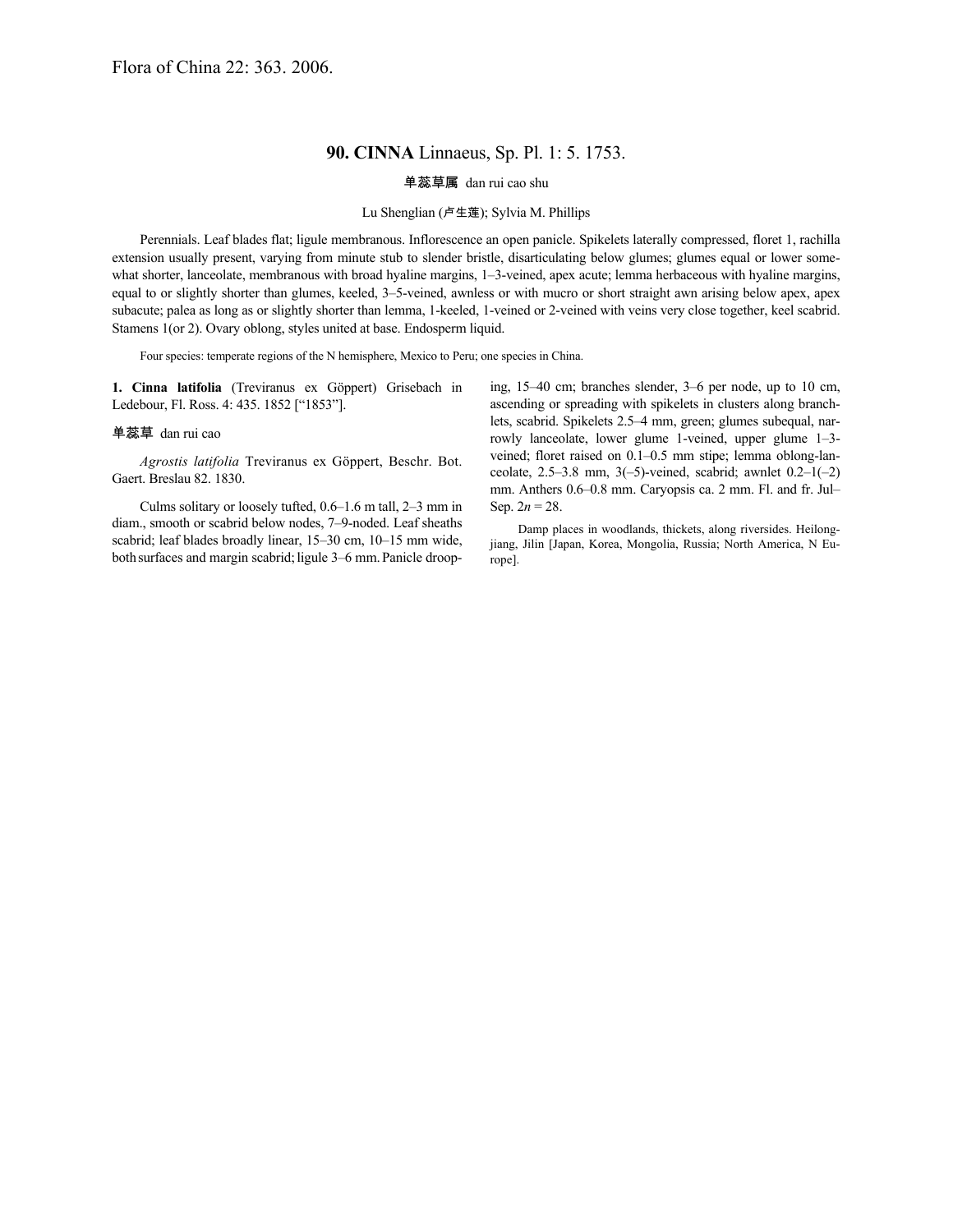## **90. CINNA** Linnaeus, Sp. Pl. 1: 5. 1753.

单蕊草属 dan rui cao shu

## Lu Shenglian (卢生莲); Sylvia M. Phillips

Perennials. Leaf blades flat; ligule membranous. Inflorescence an open panicle. Spikelets laterally compressed, floret 1, rachilla extension usually present, varying from minute stub to slender bristle, disarticulating below glumes; glumes equal or lower somewhat shorter, lanceolate, membranous with broad hyaline margins, 1–3-veined, apex acute; lemma herbaceous with hyaline margins, equal to or slightly shorter than glumes, keeled, 3–5-veined, awnless or with mucro or short straight awn arising below apex, apex subacute; palea as long as or slightly shorter than lemma, 1-keeled, 1-veined or 2-veined with veins very close together, keel scabrid. Stamens 1(or 2). Ovary oblong, styles united at base. Endosperm liquid.

Four species: temperate regions of the N hemisphere, Mexico to Peru; one species in China.

**1. Cinna latifolia** (Treviranus ex Göppert) Grisebach in Ledebour, Fl. Ross. 4: 435. 1852 ["1853"].

## 单蕊草 dan rui cao

*Agrostis latifolia* Treviranus ex Göppert, Beschr. Bot. Gaert. Breslau 82. 1830.

Culms solitary or loosely tufted, 0.6–1.6 m tall, 2–3 mm in diam., smooth or scabrid below nodes, 7–9-noded. Leaf sheaths scabrid; leaf blades broadly linear, 15–30 cm, 10–15 mm wide, both surfaces and margin scabrid; ligule 3–6 mm. Panicle drooping, 15–40 cm; branches slender, 3–6 per node, up to 10 cm, ascending or spreading with spikelets in clusters along branchlets, scabrid. Spikelets 2.5–4 mm, green; glumes subequal, narrowly lanceolate, lower glume 1-veined, upper glume 1–3 veined; floret raised on 0.1–0.5 mm stipe; lemma oblong-lanceolate,  $2.5-3.8$  mm,  $3(-5)$ -veined, scabrid; awnlet  $0.2-1(-2)$ mm. Anthers 0.6–0.8 mm. Caryopsis ca. 2 mm. Fl. and fr. Jul– Sep.  $2n = 28$ .

Damp places in woodlands, thickets, along riversides. Heilongjiang, Jilin [Japan, Korea, Mongolia, Russia; North America, N Europe].